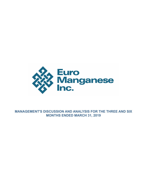

**MANAGEMENT'S DISCUSSION AND ANALYSIS FOR THE THREE AND SIX MONTHS ENDED MARCH 31, 2019**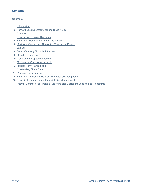# **Contents**

#### **Contents**

- [Introduction](#page-2-0)
- [Forward-Looking Statements and Risks Notice](#page-2-0)
- [Overview](#page-4-0)
- [Financial and Project Highlights](#page-5-0)
- [Significant Transactions During the Period](#page-6-0)
- [Review of Operations Chvaletice Manganese Project](#page-6-0)
- [Outlook](#page-12-0)
- [Select Quarterly Financial Information](#page-14-0)
- [Results of Operations](#page-16-0)
- [Liquidity and Capital Resources](#page-19-0)
- [Off-Balance Sheet Arrangements](#page-20-0)
- [Related Party Transactions](#page-21-0)
- [Outstanding Share Data](#page-21-0)
- [Proposed Transactions](#page-22-0)
- [Significant Accounting Policies, Estimates and Judgments](#page-22-0)
- [Financial Instruments and Financial Risk Management](#page-22-0)
- [Internal Controls over Financial Reporting and Disclosure Controls and Procedures](#page-22-0)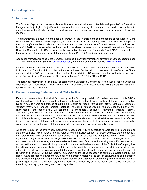### <span id="page-2-0"></span>**1. Introduction**

The Company's principal business and current focus is the evaluation and potential development of the Chvaletice Manganese Project (the "Project"), which involves the re-processing of a manganese deposit hosted in historic mine tailings in the Czech Republic to produce high-purity manganese products in an environmentally-sound manner.

This management's discussion and analysis ("MD&A") of the financial condition and results of operations of Euro Manganese Inc. ("EMI" or "the Company"), prepared as of May 10, 2019, supplements, but does not form part of the Company's unaudited condensed consolidated interim financial statements for the three and six months ended March 31, 2019, and the related notes thereto, which have been prepared in accordance with International Financial Reporting Standards ("IFRS"), as issued by the International Accounting Standards Board ("IASB"), applicable to the preparation of interim financial statements, including IAS 34 *Interim Financial Reporting*.

Additional information relating to the Company, including the Annual Information Form for the year ended September 30, 2018, is available on SEDAR at [www.sedar.com,](http://www.sedar.com) and on the Company's website www.mn25.ca.

All dollar amounts contained in this MD&A are expressed in Canadian dollars and tabular amounts are expressed in thousands of Canadian dollars, unless otherwise indicated. Further, all common share ("Shares") and per Share amounts in this MD&A have been adjusted to reflect the subdivision of Shares on a one-for-five basis, as approved at the Annual General Meeting of the Company on March 20, 2018 (the "Share Split").

The technical information in this MD&A concerning the Chvaletice Manganese Project was prepared under the supervision of Mr. Gary Nordin, a Qualified Person under the National Instrument 43-101 *Standards of Disclosure for Mineral Projects* ("NI 43-101").

#### **2. Forward-Looking Statements and Risks Notice**

Except for statements of historical fact relating to the Company, certain information contained in this MD&A constitutes forward-looking statements or forward-looking information. Forward-looking statements or information typically include words and phrases about the future, such as: "seek", "anticipate", "plan", "continue", "estimate", "expect", "may", "will", "project", "predict", "potential", "targeting", "intend", "could", "might", "should", "believe", "will likely result", "are expected to", "will continue", "is anticipated", "believes", "estimated", "intends", "plans", "projection", "outlook" and similar expressions. These statements involve known and unknown risks, assumptions, uncertainties and other factors that may cause actual results or events to differ materially from those anticipated in such forward-looking statements. The Company believes there is a reasonable basis for the expectations reflected in the forward-looking statements, however no assurance can be given that these expectations will prove to be correct and the forward-looking statements included herein should not be unduly relied upon.

All of the results of the Preliminary Economic Assessment ("PEA") constitute forward-looking information or statements, including estimates of internal rates of return, payback periods, net present values, future production, estimates of cash cost, assumed long term prices for high-purity electronic manganese metal ("HPEMM") and high-purity manganese sulphate monohydrate ("HPMSM"), proposed extraction plans and methods, operating life estimates, cash flow forecasts, metal recoveries and estimates of capital and operating costs. Furthermore, with respect to this specific forward-looking information concerning the development of the Project, the Company has based its assumptions and analysis on certain factors that are inherently uncertain. Uncertainties include among others: (i) the adequacy of infrastructure; (ii) the ability to develop adequate processing capacity; (iii) the price of HPEMM and HPMSM; (iv) the availability of equipment and facilities necessary to complete development; (v) the size of future processing plants and future tailings extraction rates; (vi) the cost of consumables and extraction and processing equipment; (vii) unforeseen technological and engineering problems; (viii) currency fluctuations; (ix) changes in laws or regulations; (x) the availability and productivity of skilled labour; and (xi) the regulation of the mining industry by various governmental agencies.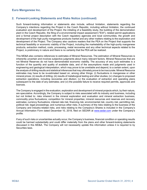## **2. Forward-Looking Statements and Risks Notice (continued)**

Such forward-looking information or statements also include, without limitation, statements regarding the Company's intentions regarding the Project in the Czech Republic, including without limitation, the continued evaluation and development of the Project, the initiating of a feasibility study, the building of the demonstration plant in the Czech Republic, the filing of a environmental impact assessment ("EIA"), related permit applications and a formal project description with the Czech regulatory agencies and local communities, the growth and development of the high purity manganese products market and any other matters relating to the exploration and development of the Project. The Company also cautions readers that the PEA on the Project that supports the technical feasibility or economic viability of the Project, including the marketability of the high-purity manganese products, extraction method, costs, processing, metal recoveries and any other technical aspects related to the Project, is preliminary in nature and there is no certainty that the PEA will be realized.

This MD&A also contains references to estimates of Mineral Resources. The estimation of Mineral Resources is inherently uncertain and involves subjective judgments about many relevant factors. Mineral Resources that are not Mineral Reserves do not have demonstrated economic viability. The accuracy of any such estimates is a function of the quantity and quality of available data, and of the assumptions made and judgments used in engineering and geological interpretation, which may prove to be unreliable and depend, to a certain extent, upon the analysis of drilling results and statistical inferences that may ultimately prove to be inaccurate. Mineral Resource estimates may have to be re-estimated based on, among other things: (i) fluctuations in manganese or other mineral prices; (ii) results of drilling; (iii) results of metallurgical testing and other studies; (iv) changes to proposed extraction operations, including recoveries and dilution; (v) the evaluation of extraction and operating plans subsequent to the date of any estimates; and (vi) the possible failure to receive required permits, approvals and licences.

The Company is engaged in the evaluation, exploration and development of mineral projects which, by their nature, are speculative. Accordingly, the Company is subject to risks associated with its industry and business, including but not limited to: risks inherent in the mineral exploration and evaluation and mineral extraction business; commodity price fluctuations; competition for mineral properties; mineral resources and reserves and recovery estimates; currency fluctuations; interest rate risk; financing risk; environmental risk; country risk; permitting risk; political risk; legal proceedings; and numerous other risks. A summary of the risks relating to the business of the Company and industry-related risks, and risks relating to the Company's Shares is included in the Company's Annual Information Form dated December 10, 2018, filed on SEDAR at [www.sedar.com](http://www.sedar.com) under the Company's profile.

If any of such risks or uncertainties actually occur, the Company's business, financial condition or operating results could be harmed substantially and could differ materially from the plans and other forward-looking statements discussed in this MD&A. The Company will not necessarily update this information unless it is required to by Securities laws.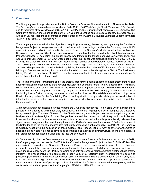#### <span id="page-4-0"></span>**3. Overview**

The Company was incorporated under the British Columbia Business Corporations Act on November 24, 2014. The Company's corporate offices are located at Suite 1500, 1040 West Georgia Street, Vancouver, B.C., Canada and its registered offices are located at Suite 1700, Park Place, 666 Burrard Street, Vancouver, B.C., Canada. The Company's common shares are traded on the TSX Venture Exchange and CHESS Depository Interests ("CDIs", with each CDI representing one common share) are traded on the Australia Securities Exchange under the symbols "EMN.V" and "EMN.AX", respectively.

The Company was formed with the objective of acquiring, evaluating, developing and operating the Chvaletice Manganese Project, a manganese deposit hosted in historic mine tailings, in which the Company has a 100% ownership interest, and which is located in the Czech Republic. The Company's wholly-owned subsidiary, Mangan Chvaletice s.r.o. ("Mangan") holds two licences covering mineral exploration rights for the Chvaletice Manganese Project ("Licences"). The original exploration licence was transferred to Mangan effective January 28, 2015, and was valid until September 30, 2019. On December 4, 2018, this licence was extended until May 31, 2023. On May 4, 2018, the Czech Ministry of Environment issued Mangan an additional exploration licence, valid until May 31, 2023, allowing it to drill the slopes on the perimeter of the tailings piles. On April 17, 2018, with effect from April 28, 2018, Mangan was also issued a Preliminary Mining Permit by the Ministry of Environment, referred to by the Ministry of Environment as the prior consent with the establishment of the Mining Lease District. The Preliminary Mining Permit, valid until April 30, 2023, covers the areas included in the Licences and now secures Mangan's exploration rights for the entire deposit.

The Preliminary Mining Permit forms one of the prerequisites for the application for the establishment of the Mining Lease District and represents one of the key steps towards final permitting for the Project. Based on the Preliminary Mining Permit and other documents, including the Environmental Impact Assessment (which may only commence after the Preliminary Mining Permit is issued), Mangan has until April 30, 2023, to apply for the establishment of the Mining Lease District covering the areas included in the Licences. The establishment of the Mining Lease District, the application for the final Mining Permit, and applications for permits relating to the construction of infrastructure required for the Project, are required prior to any extraction and processing activities at the Chvaletice Manganese Project.

At present, Mangan does not hold surface rights to the Chvaletice Manganese Project area, which includes those parcels of land underlying and immediately surrounding, the three tailings deposits which comprise the Chvaletice Manganese Project. The area of interest for the Chvaletice Manganese Project overlies several privately owned land parcels with surface rights. To date, Mangan has received the consent to conduct exploration activities and to access the site from the land owners whose surface properties underlie the tailings. Additionally, Mangan has signed an option agreement giving it the right to acquire 100% of a company that owns a 19.94-hectare parcel of land intended to be the site of Mangan's ultra-high purity processing plant (section 6 of this MD&A). The Company is currently negotiating the acquisition of these surface rights, leases, rights of way, or other arrangements in additional areas where it intends to develop its operations, site facilities and infrastructure. There is no guarantee that areas needed for these activities and facilities will be secured.

On December 12, 2018, the Company reported an upgraded Mineral Resource Estimate and on January 30, 2019, the Company reported the results of a PEA for the Chvaletice Manganese Project (section 6 of this MD&A). The main activities required for the Chvaletice Manganese Project's full development will incorporate several phases in order to support the construction of a new plant capable of producing HPEMM using a conventional, proven, selenium-free process as well as HPMSM, focusing principally on Europe's rapidly emerging electric vehicle battery industry. The phases include: the completion in early 2020 of a feasibility study incorporating the design of processing facilities and infrastructure; the construction and commissioning of a demonstration plant in early 2020 to produce multi-tonne, high-purity manganese product samples for customer testing and supply-chain qualification; the concurrent submission of permit applications that will require further environmental investigations; and the continued market development for the Company's HPEMM and HPMSM products.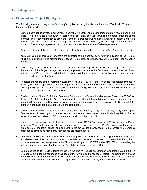## <span id="page-5-0"></span>**4. Financial and Project Highlights**

The following are a summary of the Company's highlights during the six months ended March 31, 2019, and to the date of this MD&A:

- Signed a confidential strategic agreement in early May 8, 2019, with a consumer of battery raw materials (the "Party"), which includes a framework for technical cooperation, pursuant to which both parties intend to share technical and other information to allow the Company's proposed Chvaletice Manganese Project plant to be designed and built to meet the Party's long-term supply of environmentally-superior high purity manganese products. The strategic agreement also provides the potential for future offtake negotiations.
- Appointed Bilfinger Tebodin Czech Republic s.r.o. to initiate preparation of the Project's EIA and related studies.
- Acquired five small parcels of land from the operator of the electrical power station adjacent to the Project, which fill small gaps in and around the proposed Project plant site lands, which the Company has an option to acquire.
- On April 29, 2019, the Municipality of Trnavka, which is located adjacent to the Project's tailings, and on which the majority of the Project tailings are located, approved the sale to the Company, of a small parcel of land adjacent to the Project tailings. On this land, the Company intends to erect a visual and acoustic barrier between Trnavka and the Project tailings.
- Reported the results of the Preliminary Economic Analysis ("PEA") for the Chvaletice Manganese Project on January 30, 2019, supporting a 25-year project life with strong economics of an after tax net present value ("NPV") of US\$593 million at a 10% discount rate and a 22.6% IRR, and a pre-tax NPV of US\$782 million at a 10% real discount rate and a 25.2% IRR.
- Filed an updated NI 43-101 Mineral Resource Estimate for the Chvaletice Manganese Project on SEDAR on January 28, 2019 in which the 27 million tonne of Indicated and Inferred Mineral Resource categories were upgraded to Measured and Indicated Mineral Resource categories with an average grade of 7.33% Mn (98.3% of these were classified as Measured Mineral Resources).
- Obtained an extension of the exploration licence on December 4, 2018, until May 31, 2023, securing the Company's exploration rights for the entire deposit which is also covered by the Preliminary Mining Permit issued by the Czech Ministry of Environment and valid until April 30, 2023.
- Made the first option payment of 14 million Czech Korunas (\$815,000) on October 17, 2018, through the Czech subsidiary Mangan, to acquire 100% of the equity of EP Chvaletice s.r.o. ("EPCS"), a company that owns a large parcel of industrial zoned land adjacent to the Chvaletice Manganese Project, where the Company proposes to develop its high-purity manganese processing facility.
- Completed an extensive series of laboratory investigations in one of China's leading metallurgical research and development institutes and in several other laboratories around the world, to determine the optimum process to convert the manganese in the Chvaletice tailings into HPEMM and/or HPMSM, while meeting the safety and environmental standards of the Czech Republic and European Union.
- Completed the Initial Public Offering ("IPO") on the TSX-V ("Canadian Offering") and raised \$2,500,000 on October 2, 2018, for the continued evaluation of the Chvaletice Manganese Project. The Company's shares and CHESS Depository Interests ("CDIs") started trading on the TSX Venture Exchange ("TSX-V") and the Australian Securities Exchange ("ASX"), respectively, on October 2, 2018, under the symbol "EMN".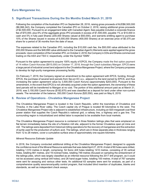## <span id="page-6-0"></span>**5. Significant Transactions During the Six Months Ended March 31, 2019**

Following the completion of the Australian IPO on September 28, 2018, raising gross proceeds of AUD\$6,500,000 (\$6,066,342), the Company completed the Canadian IPO on October 2, 2018, raising additional gross proceeds of \$2,500,000. Pursuant to an engagement letter with Canadian Agent, fees payable included a corporate finance fee of \$70,000, plus 6% of the aggregate gross IPO proceeds in excess of \$1,500,000, payable 1% or \$10,000 in cash and 5% in fully paid Shares (200,000 Shares valued at \$50,000), and warrants entitling agent to purchase 10% of the Shares issued in excess of 6,000,000 Shares (400,000 Shares) at an exercise price of \$0.375 per share for a period of 36 months from the date of issue.

The expenses related to the Canadian IPO, including the \$10,000 cash fee, the \$50,000 value attributed to the 200,000 Shares and the \$48,890 value attributed to the Canadian Agent's Warrants were applied against the gross proceeds. Upon completion of the Canadian IPO, on October 2, 2018, the Company's CDIs and Shares commenced trading on the ASX and TSX-V, respectively, under the Symbol "EMN".

Pursuant to the option agreement to acquire 100% equity of EPCS, the Company made the first option payment of 14 million Czech Korunas (\$815,000) on October 17, 2018, through the Czech subsidiary Mangan. EPCS owns a large parcel of industrial zoned land adjacent to the Chvaletice Manganese Project, where the Company proposes to develop its high-purity manganese processing facility.

On February 7, 2019, the Company signed an amendment to the option agreement with EPCS, funding, through EPCS, the purchase of several land parcels from Sev.en EC a.s., adjacent to the land owned by EPCS, and thus increasing the option agreement value by 3,500,000 Czech Koruna (approximately \$203,000). Pursuant to the amendment, in the event that EPCS is not ultimately acquired under the option agreement, the ownership of these land parcels will be transferred to Mangan at no cost. The portion of this additional amount paid as at March 31, 2019, was 3,150,000 Czech Koruna (\$182,670) and was classified as a deposit for land under other non-current assets. The remainder of the balance, 350,000 Czech Koruna (\$20,550), was paid on May 6, 2019.

#### **6. Review of Operations - Chvaletice Manganese Project**

The Chvaletice Manganese Project is located in the Czech Republic, within the townships of Chvaletice and Trnavka, in the Labe River valley. The Czech capital city of Prague is located 90 kilometres to the west. The Chvaletice Manganese Project site is adjacent to established infrastructure, including an 820-megawatt coal-fired power station that supplies the Czech Republic's national grid, a railway line, a highway and a gas line. The surrounding region is industrialized and skilled labor is expected to be available from local markets.

The Chvaletice Manganese Project resource is contained in three flotation tailings piles that were emplaced on flat terrain immediately below the site of a flotation mill site, adjacent to the former Chvaletice open pit mine and mill. The tailings were deposited from historical milling operations for the recovery of manganese and the extraction of pyrite used for the production of sulfuric acid. The tailings, which are in three separate piles in thickness ranging from 12 to 28 meters, cover a cumulative surface area of approximately one square kilometre.

#### *Mineral Resource Estimate Update*

In 2018, the Company conducted additional drilling at the Chvaletice Manganese Project; designed to upgrade the confidence level of the Mineral Resource estimate that was dated April 27, 2018. A total of 80 holes were drilled, totalling 1,510 metres in length, comprising: 54 Sonic drill holes totalling 1410 metres, consisting of 35 vertical holes, totalling 661 metres, and 19 inclined holes, totalling 749 metres (focused on sampling the embankment of the tailings piles, which was largely classified as an inferred resource following the 2017 drill program, as it could not be accessed using vertical drill holes); and 26 hand-auger holes, totalling 100 metres. A total of 767 samples were sent for assaying and various other tests. An additional 63 samples were sent for analysis, as part of a comprehensive quality assurance/quality control program, that included blind insertion of duplicates, blanks and standards, as well as independent check assays.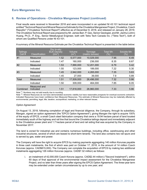Final results were received in November 2018 and were incorporated in an updated NI 43:101 technical report entitled "Technical Report and Mineral Resource Estimate for the Chvaletice Manganese Project, Chvaletice, Czech Republic" ("Chvaletice Technical Report") effective as of December 8, 2018, and released on January 28, 2019. The Chvaletice Technical Report was prepared by Mr. James Barr, P. Geo, Senior Geologist, and Mr. Jianhui (John) Huang, Ph.D., P. Eng., Senior Metallurgical Engineer, both with Tetra Tech Canada Inc. ("Tetra Tech"), both of whom are Qualified Persons under NI 43-101.

A summary of the Mineral Resource Estimate per the Chvaletice Technical Report is presented in the table below:

| <b>Tailings</b><br>Cell $#$ | Classification            | Dry In-situ<br><b>Bulk Density</b><br>$(t/m^3)$ | Volume<br>$\rm (m^3)$ | Tonnage<br>(metric tonnes) | <b>Total Mn</b><br>$(\% )$ | Soluble Mn<br>$(\% )$ |
|-----------------------------|---------------------------|-------------------------------------------------|-----------------------|----------------------------|----------------------------|-----------------------|
| #1                          | Measured                  | 1.52                                            | 6,577,000             | 10,029,000                 | 7.95                       | 6.49                  |
|                             | Indicated                 | 1.47                                            | 160,000               | 236,000                    | 8.35                       | 6.67                  |
| #2                          | Measured                  | 1.53                                            | 7,990,000             | 12,201,000                 | 6.79                       | 5.42                  |
|                             | Indicated                 | 1.55                                            | 123,000               | 189,000                    | 7.22                       | 5.30                  |
| #3                          | Measured                  | 1.45                                            | 2,942,000             | 4,265,000                  | 7.35                       | 5.63                  |
|                             | Indicated                 | 1.45                                            | 27,000                | 39,000                     | 7.9                        | 5.89                  |
| Total                       | Measured                  | 1.51                                            | 17,509,000            | 26,496,000                 | 7.32                       | 5.86                  |
|                             | Indicated                 | 1.50                                            | 309,000               | 464,000                    | 7.85                       | 6.05                  |
| Combined                    | Measured and<br>Indicated | 1.51                                            | 17,818,000            | 26,960,000                 | 7.33                       | 5.86                  |

Note  $<sup>(1)</sup>$ : Numbers may not add exactly due to rounding.</sup>

Note<sup>(2)</sup>: Mineral Resources do not have demonstrated economic viability but have reasonable prospects for eventual economic extraction. Indicated Resources have lower confidence than Measured Resources. The estimate of Mineral Resources may be materially affected by environmental, permitting, legal, title, taxation, sociopolitical, marketing, or other relevant issues.

#### *Option Agreement*

On August 13, 2018, following completion of legal and financial diligence, the Company, through its subsidiary, Mangan, signed an option agreement (the "EPCS Option Agreement"), giving Mangan the right to acquire 100% of the equity of EPCS, a small Czech steel fabrication company that owns a 19.94 hectare parcel of land located immediately south of the highway and rail line that bound the Chvaletice tailings deposit and immediately adjacent to the Chvaletice power plant and 1.7 hectare parcel of land and rail siding that was acquired by the Company in November 2017.

The land is zoned for industrial use and contains numerous buildings, including office, warehousing and other industrial structures, several of which are leased to short-term tenants. The land also contains two rail spurs and is served by gas, water and power.

The Company will have the right to acquire EPCS by making payments aggregating 140 million Korunas payable in three cash instalments, the first of which was paid on October 17, 2018, in the amount of 14 million Czech Korunas (approx. CAD\$815,000). The Company can complete the acquisition of EPCS by making two additional instalments aggregating 126 million Korunas (approx. CAD\$7.32 million) as follows:

i. an instalment of 42,000,000 Czech Koruna (approx. CAD\$2.44 million) ("Second Instalment"), within 60 days of final approval of the environmental impact assessment for the Chvaletice Manganese Project, and no later than three years after signing the EPCS Option Agreement. The three-year term may be extended under certain circumstances by up to one year; and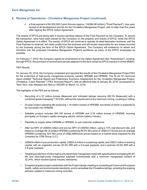ii. a final payment of 84,000,000 Czech Koruna (approx. CAD\$4.88 million) ("Final Payment"), due upon receipt of all development permits for the Chvaletice Manganese Project, and no later than five years after signing the EPCS Option Agreement.

The shares of EPCS are being held in escrow pending release of the Final Payment by the Company. To secure the transaction, liens have been placed by the Company on the property and shares of EPCS, while the EPCS Option Agreement is in effect. The vendor of EPCS will continue to operate its steel fabrication business until the Final Payment is received, will retain profits from the business and will remain responsible for any losses incurred by the business during the term of the EPCS Option Agreement. The Company will endeavour to retrain and transition into the proposed Chvaletice Manganese Project's workforce as many of the EPCS employees as possible.

On February 7, 2019, the Company signed an amendment to the Option Agreement (the "Amendment"), funding, through EPCS, the purchase of several land parcels adjacent to the land owned by EPCS (section 5 of this MD&A).

#### *PEA Results*

On January 30, 2019, the Company completed and reported the results of the Chvaletice Manganese Project PEA for the production of high-purity manganese products, namely HPEMM and HPMSM. The NI 43-101 technical report entitled "Technical Report and Preliminary Economic Assessment for the Chvaletice Manganese Project, Chvaletice, Czech Republic" ("PEA Technical Report"), with an effective date of January 29, 2019, as prepared by Tetra Tech, was released and filed on SEDAR on March 15, 2019.

The highlights of the PEA are as follows:

- Recycling of a 27 million tonnes Measured and Indicated tailings resource (98.3% Measured) with a combined grade averaging 7.33% Mn, without the requirement of any hard rock mining, crushing or milling;
- 25-year project operating life producing 1.19 million tonnes of HPEMM, two-thirds of which is expected to be converted into HPMSM;
- Saleable product includes 404,100 tonnes of HPEMM and 2.35 million tonnes of HPMSM, focusing principally on Europe's rapidly emerging electric vehicle battery industry;
- Flexibility to supply either HPEMM or HPMSM, to suit customer preference;
- After tax NPV of US\$593 million and pre-tax NPV of US\$782 million, using a 10% real discount rate, and based on average life-of-project HPEMM (containing 99.9% Mn) price of US\$4,617/tonne and an average HPMSM (containing 32% Mn) price of US\$2,666/tonne (prices based on a market study prepared for the Company by CPM Group LLC);
- US\$404 million in pre-production capital, US\$24.8 million in sustaining capital, and US\$31 million in working capital, with an ungeared, pre-tax 25.2% IRR with a 4.5-year payback, and a post-tax 22.6% IRR with a 4.9-year payback;
- Targeting production of ultra-high-purity electrolytic manganese metal with specifications exceeding 99.9% Mn and ultra-high-purity manganese sulphate monohydrate with a minimum manganese content of 32.34%, which exceed typical industry standards;
- Exceptional green project credentials with the Project design meeting or exceeding all Czech and European health, safety and environmental standards, and to remediate the Chvaletice tailings, arresting the ongoing pollution related to historical mining activities;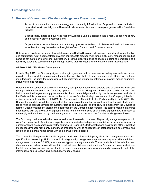- Access to excellent transportation, energy and community infrastructure. Proposed process plant site to be located in an industrially-zoned brownfield site, where a historical process plant generated the Chvaletice tailings;
- Sophisticated, stable and business-friendly European Union jurisdiction that is highly supportive of new and, especially, green investment; and
- Opportunities exist to enhance returns through process optimization initiatives and various investment incentives that may be available through the Czech Republic and European Union.

Subject to the availability of funds, the next steps planned for the Chvaletice Manganese Project are the construction and commissioning of a demonstration plant in early 2020 to produce multi-tonne, high-purity manganese product samples for customer testing and qualification, in conjunction with ongoing studies leading to completion of a feasibility study and submission of permit applications that will require further environmental investigations.

#### *HPEMM & HPMSM Market Development*

In early May 2019, the Company signed a strategic agreement with a consumer of battery raw materials, which provides a framework for strategic and technical cooperation that is focused on large-scale lithium-ion batteries manufacturing, including the production of high-performance lithium-ion batteries for several market segments, including electric vehicles.

Pursuant to the confidential strategic agreement, both parties intend to collaborate and to share technical and strategic information, so that the Company's proposed Chvaletice Manganese Project plant can be designed and built to meet the long-term supply requirements of environmentally-superior high purity manganese products of the Party and its customers. Under the terms of the confidential strategic agreement, the Company intends to deliver a specified quantity of HPMSM (the "Demonstration Material") to the Party's facility in early 2020. The Demonstration Material will be produced at the Company's demonstration plant, which will provide bulk, multitonne finished product samples for customer testing and evaluation, and which will be made from the Chvaletice tailings. Upon completion of testing and qualification of the Demonstration Material, the parties intend to enter into negotiations with the objective of agreeing on the terms and conditions of an offtake agreement with respect to the supply and purchase of high purity manganese products produced at the Chvaletice Manganese Project.

The Company continues to hold active discussions with several consumers of high-purity manganese products in Asia, Europe and North America, and expects to enter into similar strategic, commercial, technical and/or framework agreements with such companies over the course of 2019 and 2020, for the testing and qualification of the Chvaletice Manganese Project's high-purity manganese products, as well as negotiations of potential offtake agreements and long-term commercial relationships with some or all of these parties.

The Chvaletice Manganese Project is targeting production of ultra-high-purity electrolytic manganese metal with specifications exceeding 99.9% Mn and ultra-high-purity manganese sulphate monohydrate with a minimum manganese content of 32.34%, which exceed typical industry standards. These products will be selenium and chromium-free, and are designed to contain very low levels of deleterious impurities. As such, the Company believes the Chvaletice Manganese Project stands to become an important and environmentally-sustainable part of the international and European lithium-ion battery supply chains.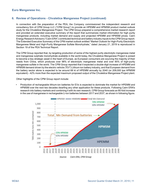In connection with the preparation of the PEA, the Company commissioned the independent research and consultancy firm of CPM Group LLC ("CPM Group") to provide an HPEMM and HPMSM product market outlook study for the Chvaletice Manganese Project. The CPM Group prepared a comprehensive market research report and provided an extended executive summary of the report that summarizes market information for high purity manganese products, including market demand and supply and projected HPEMM and HPMSM prices. Cairn Energy Research Advisors ("Cairn ERA") contributed technical and battery industry inputs to the CPM Group report. The Extended Executive Summary of the CPM market outlook entitled "Market Outlook for High-Purity Electrolytic Manganese Metal and High-Purity Manganese Sulfate Monohydrate," dated January 21, 2019 is reproduced in Section 19 of the PEA Technical Report.

The CPM Group reported that, by targeting production of some of the highest purity electrolytic manganese metal and manganese sulphate monohydrate available in the world today, the Chvaletice Manganese Project is poised to become a key strategic asset in the heart of Europe, as European consumers are sourcing the majority of their needs from China, which produces over 98% of electrolytic manganese metal and over 85% of high-purity manganese sulfate in the world. The CPM Group reported that it expected a double-digit increase of HPEMM and HPMSM demand driven by the electric vehicle ("EV") Lithium-ion battery industry, and that European demand from the battery sector alone is expected to be around 68 kt of HPEMM annually by 2040 (or 209,000 tpa HPMSM equivalent) - 42% more than the expected maximum proposed output of the Chvaletice Manganese Project plant.

Other highlights of the CPM Group report include:

• Production of rechargeable lithium-ion batteries for EVs is expected to dominate the market for HPEMM and HPMSM over the next two decades dwarfing any other application for these products. Following Cairn ERA's research into battery markets and combining it with its own research, CPM Group forecasts an 80-fold increase in the use of manganese in rechargeable Li-ion batteries between 2017 and 2037, as shown in following figure.

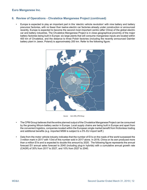### **6. Review of Operations - Chvaletice Manganese Project (continued)**

• Europe is expected to play an important part in this 'electric vehicle revolution' with nine battery and battery precursor factories, with no fewer than twelve electric car factories already under construction or announced recently. Europe is expected to become the second most important centre (after China) of the global electric car and battery industries. The Chvaletice Manganese Project is in close geographical proximity of the major battery factories being built in Europe: six large plants that will consume manganese inputs are located within 400 km of Chvaletice, and the distance to three Polish factories (including the recently announced Daimler battery plant in Jawor, Poland) is approximately 200 km. Refer to the following figure:



Source: Cairn ERA, CPM Group

- The CPM Group believes that the entire planned output of the Chvaletice Manganese Project can be consumed by the growing lithium-battery sector in Europe. Local supply chains are being built in Europe and apart from the convenient logistics, companies located within the European single market benefit from frictionless trading and additional benefits (e.g. imported MSM is subject to a 5% EU import tariff.)
- Data from the motor vehicle industry indicates that the number of EVs on the roads of the world surpassed the 3 million mark in 2017 with 1/3rd of this number sold in 2017 alone. In 2018, China on its own produced more than a million EVs and is expected to double this amount by 2020. The following figure represents the annual forecast EV annual sales forecast to 2040 (including plug-in hybrids) with a cumulative annual growth rate (CAGR) of 35% from 2017 to 2027, and 10% from 2027 to 2040.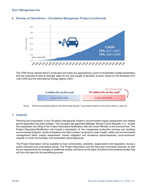

# <span id="page-12-0"></span>**6. Review of Operations - Chvaletice Manganese Project (continued)**

The CPM Group reports that EV production and sales are approaching a point of accelerated market penetration that are expected to lead to stronger sales for the next couple of decades at least, based on the forecasts from Cairn ERA and the International Energy Agency (IEA).



Source: CPM Group calculation based on Cairn ERA EV sales forecast; \* assuming the oldest EV on the road in 2026 is 11 years old.

## **7. Outlook**

Planning and preparation of the Chvaletice Manganese Project's environmental impact assessment and related permit application has been initiated. The Company has appointed Bilfinger Tebodin Czech Republic s.r.o., to lead the preparation and filing of the Project Description/Notification with the Czech Ministry of the Environment. The Project Description/Notification will include a description of: the manganese production process and resulting environmental footprint; results of baseline and other studies conducted to date; health, safety and environmental management plans; impact assessment, impact mitigation and avoidance plans/measures; socio-economic impacts on local communities; and reclamation plans/objectives.

The Project Description will be available to local communities, residents, organizations and regulators, during a public comment and consultation period. The Project Description and the input and comments received, as well as any requirements for changes or additional studies, will serve as the basis of further environmental studies that will form the basis for the permitting process.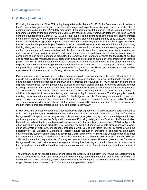## **7. Outlook (continued)**

Following the completion of the PEA during the quarter ended March 31, 2019, the Company plans to advance the Chvaletice Manganese Project to the feasibility stage, and expects to receive proposals from a short list of engineering firms by mid-May 2019, following which, it expects to award the feasibility study related contracts to two or more parties by the end of May 2019., Some early feasibility study work was initiated by Tetra Tech Canada during the quarter ending March 31, 2019. As a result, subject to the awarding of all the feasibility study contracts by the end of May 2019, the Company expects the feasibility study to be completed by early 2020. As it moves through the feasibility stage, the Company expects to continue evaluating potential value-enhancing opportunities for the Chvaletice Manganese Project. These include the potential for on-site production of sulphuric acid, optimizing building sizing and layout, equipment selection, solid-liquid separation methods, alternative magnesium removal methods, manganese sulphate crystallization technologies, leaching methods, waste generation minimization and recycling, as well as minimizing energy and water consumption. In collaboration with one or more potential consumers of high-purity manganese products, the Company also intends to evaluate the feasibility of building one or more satellite manganese metal dissolution plants to be located at customer NMC precursor or cathode plants. This would allow the Company to sell manganese sulphate solution instead of granulated manganese sulphate monohydrate, eliminating the energy-intensive crystallization step. The Company also plans to evaluate the possibility of selling by-product magnesium sulfate for agricultural use. These opportunities and others will be evaluated within the scope of work of design studies of the feasibility study.

Planning is also underway to design, build and commission a demonstration plant in the Czech Republic that will provide bulk, multi-tonne finished product samples for customer evaluation. The plant is intended to replicate the entire process flowsheet proposed in the PEA and to produce the equivalent of 100kg per day of manganese sulphate monohydrate. Several parties have expressed interest in testing and qualifying these products in order to design precursor and cathode formulations in combination with available nickel, cobalt and lithium products. The demonstration plant will also enable process optimization and testing for the final products development. In addition, it is expected to serve as a testing and training facility for future operators. The Company is currently awaiting responses to its request for proposals for the design and supply of a turnkey demonstration plant, with completion and performance guarantees, and is targeting the award the contract thereon by the end of May 2019. The Company expects the facility to be completed and commissioned by calendar year-end 2019 in order to provide the first finished product samples to the Party and others in early 2020.

In May 2019, the Company entered into a confidential strategic agreement with an undisclosed party, pursuant to which the companies agreed to collaborate, and to share technical and strategic information, so that the Chvaletice Manganese Project plant can be designed and built to meet the long-term supply of environmentally-superior high purity manganese products of the Party and its customers. Following testing and qualification of the Demonstration Material, the parties intend to negotiate an offtake agreement for the supply and purchase of HPMSM, and possibly other high-purity manganese products. The Company has held and continues to hold discussions with several other consumers of high-purity manganese products in Asia, Europe and North America, centered around the possibility of the Chvaletice Manganese Project's future production providing a competitive, high-purity, environmentally-superior and reliable long-term supply of HPEMM and/or HPMSM. The Company expects to enter into agreements that may be similar to the strategic agreement with such companies over the course of 2019 and 2020, and to enter into negotiations of offtake agreements with these parties. However, given that the Chvaletice Manganese Project is still in the evaluation stage, and still requires financing and permits, there can be no assurance that these discussions will lead to offtake agreements or commercial or strategic relationships in the near term, if at all.

The Company does not expect that its current capital resources will be sufficient to fully fund the feasibility study and the demonstration plant and any new commitments it may make with respect to additionally acquisitions of land or surface rights. Accordingly, the Company expects it will be required to raise additional funding for its next stage of development (see section 10 - "Liquidity and Capital Resources").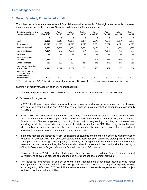## <span id="page-14-0"></span>**8. Select Quarterly Financial Information**

The following table summarizes selected financial information for each of the eight most recently completed quarters, expressed in thousands of Canadian dollars, except for share amounts:

| As at the end of or for<br>the period ending                                 | Jan to<br>March'19 | Oct to<br>Dec'18 | July to<br>Sept'18 | April to<br>June'18 | Jan to<br>March'18 | Oct to<br>Dec'17 | July to<br>Sept'17 | April to<br>June'17 |
|------------------------------------------------------------------------------|--------------------|------------------|--------------------|---------------------|--------------------|------------------|--------------------|---------------------|
|                                                                              | \$                 | \$               | \$                 | \$                  | \$                 | \$               | \$                 | \$                  |
| Cash                                                                         | 7,093              | 9,013            | 10,368             | 6,194               | 7,648              | 1,536            | 2,861              | 3,335               |
| Total assets                                                                 | 10,029             | 11,773           | 12,273             | 7,928               | 9,381              | 3,302            | 4,321              | 4,595               |
| Working capital <sup>(1)</sup>                                               | 6,416              | 8,385            | 9,119              | 5,450               | 6,973              | 721              | 2,333              | 2,768               |
| <b>Current liabilities</b>                                                   | 1,001              | 957              | 1,536              | 891                 | 825                | 1,005            | 730                | 569                 |
| Revenue                                                                      |                    |                  |                    |                     |                    |                  |                    |                     |
| Project evaluation<br>expenses                                               | 1,176              | 1,544            | 1,451              | 1.050               | 969                | 1,119            | 1,488              | 592                 |
| Other expenses                                                               | 950                | 833              | 631                | 451                 | 515                | 348              | 347                | 265                 |
| Net loss attributable to<br>shareholders                                     | 2,126              | 2,377            | 2,082              | 1,501               | 1,485              | 1,467            | 1,835              | 857                 |
| Net loss per share,<br>basic and diluted.<br>attributable to<br>shareholders | 0.01               | 0.01             | 0.02               | 0.01                | 0.01               | 0.02             | 0.03               | 0.02                |

 $<sup>(1)</sup>$  The additional non-GAAP financial measure of working capital is calculated as current assets less current liabilities.</sup>

#### Summary of major variations in quarterly financial activities:

The variation in quarterly exploration and evaluation expenditures is mainly attributed to the following:

#### *Project evaluation expenses*

- In 2017, the Company embarked on a growth phase which marked a significant increase in project related activities. As a result, starting April 2017, the level of quarterly project evaluation expenditures significantly increased.
- In June 2017, the Company initiated a drilling and assay program as the first step of a series of studies to be incorporated into the final PEA report. At the same time, the Company also commissioned, from Canadian, European and Chinese engineering consulting firms, various engineering, sampling and surveys, and metallurgical studies, the results of which were ultimately included in the PEA. The timing during the year, when studies are performed and or when milestones payments become due, account for the significant movements in project activities on a quarterly and annual basis.
- In order to manage the increased level of engineering consultants and other project activities within the Czech Republic, in October 2017, the Company started hiring local full-time personnel, starting with a full-time Managing Director of Mangan subsequently followed by the hiring of additional technical and administrative personnel. Around the same time, the Company also raised its presence in the country with the opening of offices in Prague and a Project Information Centre in the town of Chvaletice.
- Beginning January 2018, project related costs reflect the hiring of a full-time Vice President, Project Development, to oversee process engineering and overall project development planning.
- The increased involvement of outside advisors in the management of technical issues allowed senior management to concentrate their efforts on raising additional capital for the Company. Consequently, starting at the beginning of October 2017, no additional administrative and overhead charges were allocated to project exploration and evaluation activities.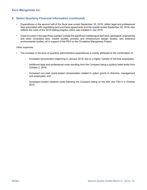## **8. Select Quarterly Financial Information (continued)**

- Expenditures in the second half of the fiscal year ended September 30, 2018, reflect legal and professional fees associated with negotiating land purchase agreements and the quarter ended September 30, 2018, also reflects the costs of the 2018 drilling program which was initiated in July 2018.
- Costs incurred in the past three quarters include the significant metallurgical test work, geological, engineering and other consultant fees, market studies, process and infrastructure design studies, and extensive environmental studies, all in support of the PEA on the Chvaletice Manganese Project.

#### *Other expenses*

- The increase in the level of quarterly administrative expenditures is mainly attributed to the combination of:
	- Increased remuneration beginning in January 2018, due to a higher number of full-time employees;
	- Additional legal and professional costs resulting from the Company being a publicly listed entity from October 2, 2018;
	- Increased non-cash share-based compensation related to option grants to directors, management and employees; and
	- Increased investor relations costs following the Company listing on the ASX and TSX-V in October 2018.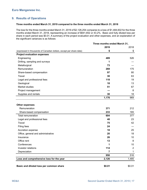## <span id="page-16-0"></span>**9. Results of Operations**

#### **Three months ended March 31, 2019 compared to the three months ended March 31, 2018**

The loss for the three months ended March 31, 2019 of \$2,126,254 compares to a loss of \$1,484,602 for the three months ended March 31, 2018, representing an increase of \$641,652 or 43.2%. Basic and fully diluted loss per share in each period was \$0.01. A summary of the project evaluation and other expenses, and an explanation of the significant variances is as follows:

|                                                                     | Three months ended March 31, |                |
|---------------------------------------------------------------------|------------------------------|----------------|
|                                                                     | 2019                         | 2018           |
| (expressed in thousands of Canadian dollars, except per share data) | \$                           | \$             |
| <b>Project evaluation expenses</b>                                  |                              |                |
| Engineering                                                         | 489                          | 526            |
| Drilling, sampling and surveys                                      | 1                            |                |
| Metallurgical                                                       | 73                           |                |
| Remuneration                                                        | 269                          | 175            |
| Share-based compensation                                            | 97                           | 80             |
| Travel                                                              | 30                           | 63             |
| Legal and professional fees                                         | 118                          | 19             |
| Geological                                                          | 18                           | 13             |
| Market studies                                                      | 51                           | 67             |
| Project management                                                  |                              | 8              |
| Supplies and rentals                                                | 30                           | 18             |
|                                                                     | 1,176                        | 969            |
|                                                                     |                              |                |
| <b>Other expenses</b>                                               |                              |                |
| Remuneration                                                        | 371                          | 212            |
| Share-based compensation                                            | 233                          | 165            |
| Total remuneration                                                  | 604                          | 377            |
| Legal and professional fees                                         | 48                           | 23             |
| Travel                                                              | 75                           | 42             |
| Filing fees                                                         | 24                           |                |
| Accretion expense                                                   | 18                           | 25             |
| Office, general and administrative                                  | 20                           | 18             |
| Insurance                                                           | 26                           | 10             |
| Office rent                                                         | 13                           | 8              |
| Conferences                                                         | 1                            | 10             |
| Investor relations                                                  | 114                          | $\overline{2}$ |
| Depreciation                                                        | 7                            | 1              |
|                                                                     | 950                          | 516            |
| Loss and comprehensive loss for the year                            | 2,126                        | 1,485          |
|                                                                     |                              |                |
| Basic and diluted loss per common share                             | \$0.01                       | \$0.01         |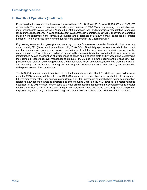## **9. Results of Operations (continued)**

Project evaluation costs for the three months ended March 31, 2019 and 2018, were \$1,176,053 and \$969,175 respectively. The main cost variances include: a net increase of \$130,064 in engineering, remuneration and metallurgical costs related to the PEA; and a \$99,104 increase in legal and professional fees relating to ongoing land purchase negotiations. This was partially offset by a decrease in market studies of \$15,781 as various marketing studies were performed in the comparative quarter, and a decrease of \$33,100 in travel expenses as greater portion of Project activities in the current quarter were performed in the Czech Republic.

Engineering, remuneration, geological and metallurgical costs for three months ended March 31, 2019, represent approximately 72% (three months ended March 31, 2018 - 74%) of the total project evaluation costs. In the current and the comparative quarters, such project evaluation costs related to a number of activities supporting the completion of the PEA, including: a tailings/residue facility design study; studies related to test work, process and infrastructure design; the initiation of a wide range of bench and pilot scale tests and investigations to determine the optimum process to recover manganese to produce HPEMM and HPMSM; scoping and pre-feasibility-level process design studies; evaluating plant and site infrastructure layout alternatives; developing preliminary capital and operating cost estimates; planning and carrying out extensive environmental studies; and conducting widespread community consultations.

The \$434,774 increase in administrative costs for the three months ended March 31, 2019, compared to the same period in 2018, is mainly attributable to: a \$159,548 increase in remuneration mainly attributable to hiring more full time employees rather than engaging consultants; a \$67,903 increase in non-cash share-based compensation related to new options granted to directors and officers during 2018; a \$112,459 increase in investor relations expenses; a \$33,005 increase in travel costs as a result of increased manganese market development and investor relations activities; a \$24,728 increase in legal and professional fees due to increased regulatory compliance requirements; and a \$24,416 increase in filing fees payable to Canadian and Australian security exchanges.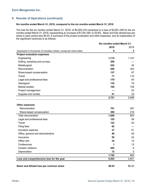## **9. Results of Operations (continued)**

#### **Six months ended March 31, 2019, compared to the six months ended March 31, 2018**

The loss for the six months ended March 31, 2019, of \$4,503,319 compares to a loss of \$2,951,438 for the six months ended March 31, 2018, representing an increase of \$1,551,881 or 52.6%. Basic and fully diluted loss per share in each period was \$0.03. A summary of the project evaluation and other expenses, and an explanation of the significant variances is as follows:

|                                                                     | Six months ended March 31, |       |
|---------------------------------------------------------------------|----------------------------|-------|
|                                                                     | 2019                       | 2018  |
| (expressed in thousands of Canadian dollars, except per share data) | \$                         | \$    |
| <b>Project evaluation expenses</b>                                  |                            |       |
| Engineering                                                         | 1,115                      | 1,147 |
| Drilling, sampling and surveys                                      | 209                        |       |
| Metallurgical                                                       | 222                        | 34    |
| Remuneration                                                        | 496                        | 322   |
| Share-based compensation                                            | 137                        | 97    |
| Travel                                                              | 71                         | 110   |
| Legal and professional fees                                         | 179                        | 54    |
| Geological                                                          | 135                        | 79    |
| Market studies                                                      | 106                        | 159   |
| Project management                                                  |                            | 53    |
| Supplies and rentals                                                | 51                         | 33    |
|                                                                     | 2,721                      | 2,088 |

#### **Other expenses**

| Remuneration                             | 701    | 387    |
|------------------------------------------|--------|--------|
| Share-based compensation                 | 308    | 216    |
| Total remuneration                       | 1,009  | 603    |
| Legal and professional fees              | 125    | 58     |
| Travel                                   | 122    | 54     |
| Filing fees                              | 62     |        |
| Accretion expense                        | 37     | 51     |
| Office, general and administrative       | 48     | 40     |
| Insurance                                | 50     | 24     |
| Office rent                              | 34     | 13     |
| Conferences                              |        | 12     |
| Investor relations                       | 282    | 6      |
| Depreciation                             | 12     | 2      |
|                                          | 1,782  | 863    |
| Loss and comprehensive loss for the year | 4,503  | 2,951  |
| Basic and diluted loss per common share  | \$0.03 | \$0.03 |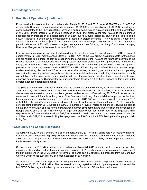## <span id="page-19-0"></span>**9. Results of Operations (continued)**

Project evaluation costs for the six months ended March 31, 2019 and 2018, were \$2,720,759 and \$2,088,395 respectively. The main cost variances include: increases of \$173,663 in remuneration and \$187,988 in metallurgical costs, both related to the PEA; a \$209,380 increase in drilling, sampling and surveys attributable to the completion of the 2018 drilling program; a \$124,624 increase in legal and professional fees related to land purchase negotiations; an increase in geological costs of \$56,156 due to a hydro-geological study of the Project; and a \$40,147 increase in share-based compensation allocated to project personnel. This was partially offset by a decrease in market studies of \$52,732 as such marketing studies were primarily conducted in the comparative period, a decrease of \$52,938 in external project management costs following the hiring of a full time Managing Director of Mangan, and a decrease in travel of \$39,743.

Engineering, remuneration, geological and metallurgical costs for six months ended March 31, 2019, represent approximately 72% (six months ended March 31, 2018 - 76%) of the total project evaluation costs for the period and are related to: a number of activities supporting the completion of the PEA and the future development of the Project, including: a tailings/residue facility design study; studies related to test work, process and infrastructure design; the initiation of a wide range of bench and pilot scale tests and investigations to determine the optimum process to recover manganese to produce HPEMM and HPMSM; scoping and pre-feasibility-level process design studies, evaluating plant and site infrastructure layout alternatives, developing preliminary capital and operating cost estimates, planning and carrying out extensive environmental studies, and conducting widespread community consultations. In the comparative period, in addition to the aforementioned activities, these costs also include an extensive geotechnical and hydrogeological study, initiated in January 2018, of the tailings and certain lands under consideration for a potential plant site.

The \$919,517 increase in administrative costs for the six months ended March 31, 2019, over the same period in 2018, is mainly attributable to total remuneration which increased \$406,208, of which \$92,072 was an increase in share-based compensation related to options granted to directors and officers during 2018. The increase in total remuneration was attributable to the growth of the Company, the hiring of more full-time employees rather than the engagement of consultants, quarterly directors' fees paid of \$40,000, and to bonuses paid in December 2018 of \$70,000. Other significant increases in administrative costs for the six months ended March 31, 2019, over the corresponding quarter in 2018 included: a \$276,045 increase in investor relations expenses following the listings on the TSX-V and ASX and the hiring of manganese market development and investor relations consultants in Europe and Australia; a \$67,436 increase in legal and professional fees mainly due to the regulatory filing requirements in Canada and Australia; a \$67,826 increase in travel costs related to increased investor relations activities; and a \$62,453 increase in filing fees payable to the TSX-V and the ASX following the Company's public listing fees.

#### **10.Liquidity and Capital Resources**

As at March 31, 2019, the Company held cash of approximately \$7.1 million. Cash is held with reputable financial institutions and is invested in highly liquid short-term investments with maturities of three months or less. The funds are not exposed to significant liquidity risk and there are no restrictions on the ability of the Company to use these funds to meet its obligations.

Cash decreased by \$3.3 million during the six months ended March 31, 2019, primarily due to cash used in operating activities of \$4.4 million and cash used in investing activities of \$1.0 million, representing mainly the payment of the first instalment on the EPCS Option Agreement. This was partially offset by the proceeds from the Canadian Offering, which raised \$2.5 million, less cash expenses of \$0.4 million.

As at March 31, 2019, the Company had working capital of \$6.4 million, which compares to working capital at September 30, 2018 of \$9.1 million. The decrease in working capital was due to operating expenditures and the first EPCS Option payment, offset by the proceeds from the Canadian IPO, as described above.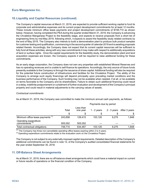## <span id="page-20-0"></span>**10.Liquidity and Capital Resources (continued)**

The Company's capital resources at March 31, 2019, are expected to provide sufficient working capital to fund its corporate and administrative expenses and its current project development commitments for at least 12 months. These include minimum office lease payments and project development commitments of \$748,710 as shown below. However, having completed the PEA during the quarter ended March 31, 2019, the Company is advancing the Chvaletice Manganese Project to the feasibility stage, and expects to receive proposals from a short list of engineering firms by mid-May 2019, following which, it expects to award the feasibility study related contracts by the end of May 2019. The Company also intends to build a demonstration plant to produce bulk product samples for customer testing and qualification, commencing in the second quarter of calendar 2019 and is awaiting proposals related thereto. Accordingly, the Company does not expect that its current capital resources will be sufficient to fully fund all these activities, along with any new commitments it may make with respect to additionally acquisitions of land or surface rights. Once the capital requirements for the feasibility study, the demonstration plant and land acquisition expenses are known, the Company expects it will be required to raise additional funding for these commitments.

As an early stage corporation, the Company does not own any properties with established Mineral Reserves and has no operating revenues and is unable to self-finance its operations. Accordingly, the only source of future funds presently available to the Company is through the issuance of share capital. Additional funding will also be required for the potential future construction of infrastructure and facilities for the Chvaletice Project. The ability of the Company to arrange such equity financings will depend principally upon prevailing market conditions and the business performance of the Company. Such funding may not be available when needed, if at all, or be available on terms favorable to the Company and its shareholders. Failure to obtain such additional financing could result in a delay, indefinite postponement or curtailment of further evaluation and development of the Company's principal property and could result in material adjustments to the carrying values of assets.

#### *Contractual commitments*

As at March 31, 2019, the Company was committed to make the minimum annual cash payments, as follows:

|                                                     | Payments due by period |                       |             |               |               |
|-----------------------------------------------------|------------------------|-----------------------|-------------|---------------|---------------|
|                                                     | Total                  | Less than<br>one year | 1 - 2 years | $2 - 3$ years | After 3 years |
|                                                     | S                      | \$                    | S           |               | \$            |
| Minimum office lease payments <sup>(1)</sup>        | 243,658                | 129.415               | 103.120     | 9.275         | 1,848         |
| Operating expenditure<br>commitments <sup>(2)</sup> | 505.052                | 505,052               |             |               |               |
| Total contractual obligations                       | 748,710                | 634.467               | 103.120     | 9.275         | 1,848         |

 $<sup>(1)</sup>$  The Company has three non-cancellable operating office leases expiring within 2 to 4 years.</sup>

 $<sup>(2)</sup>$  Operating expenditure commitments relate to the evaluation work on the Chvaletice Project.</sup>

The Company is not subject to any externally imposed capital requirements. Detailed description of the Company's additional commitments can be found in note 12, of the Company's audited consolidated financial statements for the year ended September 30, 2018.

#### **11. Off-Balance Sheet Arrangements**

As at March 31, 2019, there are no off-balance sheet arrangements which could have a material impact on current or future results of operations or the financial condition of the Company.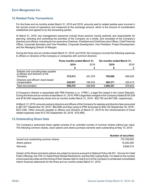## <span id="page-21-0"></span>**12.Related Party Transactions**

For the three and six months ended March 31, 2019 and 2018, amounts paid to related parties were incurred in the normal course of operations and measured at the exchange amount, which is the amount of consideration established and agreed to by the transacting parties.

At March 31, 2019, key management personnel include those persons having authority and responsibility for planning, directing and controlling the activities of the Company as a whole, and consisted of the Company's directors and officers, including its non-executive Chairman, President and Chief Executive Officer, Chief Financial Officer, Corporate Secretary and Vice President, Corporate Development, Vice President, Project Development, and the Managing Director of Mangan.

During the three and six months ended March 31, 2019, and 2018, the Company incurred the following expenses to officers or directors of the Company or companies with common directors:

|                                                                                     | Three months ended March 31, |         | Six months ended March 31, |         |
|-------------------------------------------------------------------------------------|------------------------------|---------|----------------------------|---------|
|                                                                                     | 2019                         | 2018    | 2019                       | 2018    |
|                                                                                     | S                            | S       |                            | S       |
| Salaries and consulting fees payable<br>to officers and directors of the<br>Company | 372,613                      | 341.276 | 758,980                    | 649.420 |
| Directors and officers' stock-based<br>compensation                                 | 226,657                      | 185,532 | 300,371                    | 230,413 |
| <b>Total remuneration</b>                                                           | 599,270                      | 526,808 | 1,059,351                  | 879,833 |

A Company's director is associated with PRK Partners s.r.o. ("PRK"), a legal firm based in the Czech Republic. During the three and six months ended March 31, 2019, PRK's legal fees charged to the Company totaled \$104,539 and \$140,256 respectively (three and six months ended March 31, 2018 - \$20,750 and \$47,556, respectively).

At March 31, 2019, amounts owing to directors and officers of the Company for salaries and directors fees amounted to \$67,977 (September 30, 2018 - \$64,895) and fees owing to PRK amounted to \$38,120 (September 30, 2018 - \$237,246). Other amounts payable to officers and directors at March 31, 2019 for the reimbursement of travel related expenses were \$13,754 (September 30, 2018 - \$18,498).

#### **13.Outstanding Share Data**

The Company's authorized share capital consists of an unlimited number of common shares without par value. The following common shares, stock options and share purchase warrants were outstanding at May 10, 2019:

|                                      | <b>Number of securities</b> |
|--------------------------------------|-----------------------------|
| Issued and outstanding common shares | 170.709.600                 |
| Share options                        | 15,250,000                  |
| Warrants                             | 8,684,015                   |

Certain of the Share and stock options are subject to escrow pursuant to National Policy 46-201 - Escrow for Initial Public Offerings, the TSX-V's Seed Share Resale Restrictions, and the ASX Listing Rules. For detail on the number of escrowed securities and the timing of their release refer to note 8 a) ii) of the Company's condensed consolidated interim financial statements for the three and six months ended March 31, 2019.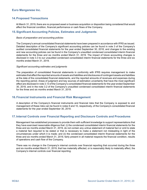### <span id="page-22-0"></span>**14.Proposed Transactions**

At March 31, 2019, there are no proposed asset or business acquisition or disposition being considered that would affect the financial condition, financial performance or cash flows of the Company.

#### **15.Significant Accounting Policies, Estimates and Judgments**

#### *Basis of preparation and accounting policies*

The Company's annual consolidated financial statements have been prepared in accordance with IFRS as issued. Detailed description of the Company's significant accounting policies can be found in note 3 of the Company's audited consolidated financial statements for the year ended September 30, 2018, and changes to the existing and new accounting policies can be found in the Company's unaudited condensed consolidated interim financial statements for the three and six months ended March 31, 2019. The impact of future accounting changes is disclosed in note 3.3 to our unaudited condensed consolidated interim financial statements for the three and six months ended March 31, 2019.

#### *Significant accounting estimates and judgments*

The preparation of consolidated financial statements in conformity with IFRS requires management to make estimates that affect the reported amounts of assets and liabilities and disclosures of contingent assets and liabilities at the date of the consolidated financial statements, and the reported amounts of revenues and expenses during the reporting period. Areas of judgment and key sources of estimation uncertainty that have the most significant effect are disclosed in note 3.13 of the Company's consolidated financial statements for the year ended September 30, 2018, and in the note 3.2 of the Company's unaudited condensed consolidated interim financial statements for the three and six months ended March 31, 2019.

#### **16.Financial Instruments and Financial Risk Management**

A description of the Company's financial instruments and financial risks that the Company is exposed to and management of these risks can be found in notes 9 and 10, respectively, of the Company's consolidated financial statements for the year ended September 30, 2018.

## **17.Internal Controls over Financial Reporting and Disclosure Controls and Procedures**

Management has established processes to provide them with sufficient knowledge to support representations that they have exercised reasonable diligence that: (i) the condensed consolidated interim financial statements for the three and six months ended March 31, 2019, do not contain any untrue statement of material fact or omit to state a material fact required to be stated or that is necessary to make a statement not misleading in light of the circumstances under which it is made; and (ii) the condensed consolidated interim financial statements for the three and six months ended March 31, 2019, fairly present in all material respects the financial condition, results of operations and cash flow of the Company.

There was no change in the Company's internal controls over financial reporting that occurred during the three and six months ended March 31, 2019, that has materially affected, or is reasonably likely to materially affect, the Company's internal controls over financial reporting.